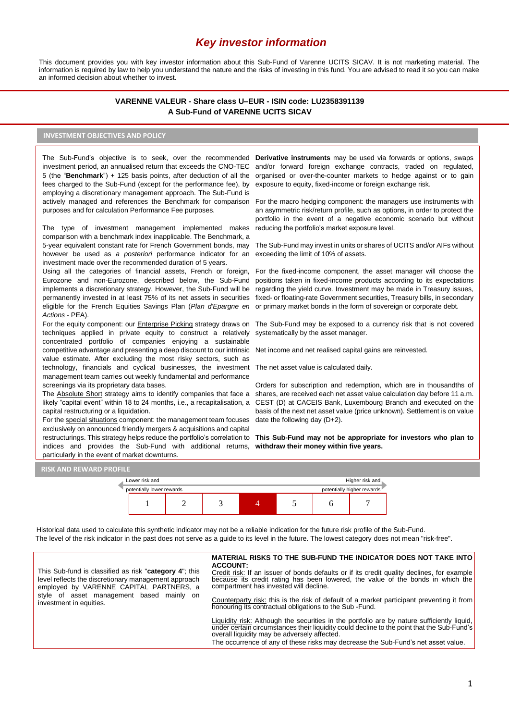# *Key investor information*

This document provides you with key investor information about this Sub-Fund of Varenne UCITS SICAV. It is not marketing material. The information is required by law to help you understand the nature and the risks of investing in this fund. You are advised to read it so you can make an informed decision about whether to invest.

# **VARENNE VALEUR - Share class U–EUR - ISIN code: LU2358391139 A Sub-Fund of VARENNE UCITS SICAV**

### **INVESTMENT OBJECTIVES AND POLICY**

5 (the "**Benchmark**") + 125 basis points, after deduction of all the fees charged to the Sub-Fund (except for the performance fee), by employing a discretionary management approach. The Sub-Fund is actively managed and references the Benchmark for comparison purposes and for calculation Performance Fee purposes.

The type of investment management implemented makes comparison with a benchmark index inapplicable. The Benchmark, a 5-year equivalent constant rate for French Government bonds, may however be used as *a posteriori* performance indicator for an investment made over the recommended duration of 5 years.

Using all the categories of financial assets, French or foreign, Eurozone and non-Eurozone, described below, the Sub-Fund implements a discretionary strategy. However, the Sub-Fund will be permanently invested in at least 75% of its net assets in securities eligible for the French Equities Savings Plan (*Plan d'Epargne en Actions* - PEA).

techniques applied in private equity to construct a relatively concentrated portfolio of companies enjoying a sustainable competitive advantage and presenting a deep discount to our intrinsic value estimate. After excluding the most risky sectors, such as technology, financials and cyclical businesses, the investment The net asset value is calculated daily. management team carries out weekly fundamental and performance screenings via its proprietary data bases.

The Absolute Short strategy aims to identify companies that face a likely "capital event" within 18 to 24 months, i.e., a recapitalisation, a capital restructuring or a liquidation.

For the special situations component: the management team focuses exclusively on announced friendly mergers & acquisitions and capital restructurings. This strategy helps reduce the portfolio's correlation to indices and provides the Sub-Fund with additional returns, particularly in the event of market downturns.

The Sub-Fund's objective is to seek, over the recommended Der**ivative instruments** may be used via forwards or options, swaps investment period, an annualised return that exceeds the CNO-TEC and/or forward foreign exchange contracts, traded on regulated, organised or over-the-counter markets to hedge against or to gain exposure to equity, fixed-income or foreign exchange risk.

> For the macro hedging component: the managers use instruments with an asymmetric risk/return profile, such as options, in order to protect the portfolio in the event of a negative economic scenario but without reducing the portfolio's market exposure level.

> The Sub-Fund may invest in units or shares of UCITS and/or AIFs without exceeding the limit of 10% of assets.

> For the fixed-income component, the asset manager will choose the positions taken in fixed-income products according to its expectations regarding the yield curve. Investment may be made in Treasury issues, fixed- or floating-rate Government securities, Treasury bills, in secondary or primary market bonds in the form of sovereign or corporate debt.

For the equity component: our *Enterprise Picking* strategy draws on The Sub-Fund may be exposed to a currency risk that is not covered systematically by the asset manager.

Net income and net realised capital gains are reinvested.

Orders for subscription and redemption, which are in thousandths of shares, are received each net asset value calculation day before 11 a.m. CEST (D) at CACEIS Bank, Luxembourg Branch and executed on the basis of the next net asset value (price unknown). Settlement is on value date the following day (D+2).

**This Sub-Fund may not be appropriate for investors who plan to withdraw their money within five years.**





Historical data used to calculate this synthetic indicator may not be a reliable indication for the future risk profile of the Sub-Fund. The level of the risk indicator in the past does not serve as a guide to its level in the future. The lowest category does not mean "risk-free".

This Sub-fund is classified as risk "**category 4**"; this level reflects the discretionary management approach employed by VARENNE CAPITAL PARTNERS, a style of asset management based mainly on investment in equities.

#### **MATERIAL RISKS TO THE SUB-FUND THE INDICATOR DOES NOT TAKE INTO ACCOUNT:**

Credit risk: If an issuer of bonds defaults or if its credit quality declines, for example because its credit rating has been lowered, the value of the bonds in which the compartment has invested will decline.

Counterparty risk: this is the risk of default of a market participant preventing it from honouring its contractual obligations to the Sub -Fund.

Liquidity risk: Although the securities in the portfolio are by nature sufficiently liquid, under certain circumstances their liquidity could decline to the point that the Sub-Fund's overall liquidity may be adversely affected.

The occurrence of any of these risks may decrease the Sub-Fund's net asset value.